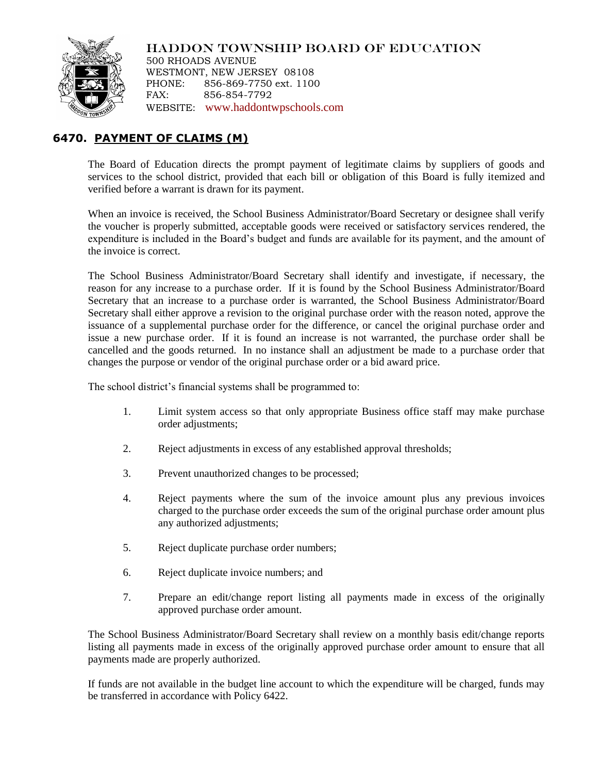

HADDON TOWNSHIP BOARD OF EDUCATION 500 RHOADS AVENUE WESTMONT, NEW JERSEY 08108 PHONE: 856-869-7750 ext. 1100 FAX: 856-854-7792 WEBSITE: [www.haddontwpschools.com](http://www.haddontwpschools.com/)

## **6470. PAYMENT OF CLAIMS (M)**

The Board of Education directs the prompt payment of legitimate claims by suppliers of goods and services to the school district, provided that each bill or obligation of this Board is fully itemized and verified before a warrant is drawn for its payment.

When an invoice is received, the School Business Administrator/Board Secretary or designee shall verify the voucher is properly submitted, acceptable goods were received or satisfactory services rendered, the expenditure is included in the Board's budget and funds are available for its payment, and the amount of the invoice is correct.

The School Business Administrator/Board Secretary shall identify and investigate, if necessary, the reason for any increase to a purchase order. If it is found by the School Business Administrator/Board Secretary that an increase to a purchase order is warranted, the School Business Administrator/Board Secretary shall either approve a revision to the original purchase order with the reason noted, approve the issuance of a supplemental purchase order for the difference, or cancel the original purchase order and issue a new purchase order. If it is found an increase is not warranted, the purchase order shall be cancelled and the goods returned. In no instance shall an adjustment be made to a purchase order that changes the purpose or vendor of the original purchase order or a bid award price.

The school district's financial systems shall be programmed to:

- 1. Limit system access so that only appropriate Business office staff may make purchase order adjustments;
- 2. Reject adjustments in excess of any established approval thresholds;
- 3. Prevent unauthorized changes to be processed;
- 4. Reject payments where the sum of the invoice amount plus any previous invoices charged to the purchase order exceeds the sum of the original purchase order amount plus any authorized adjustments;
- 5. Reject duplicate purchase order numbers;
- 6. Reject duplicate invoice numbers; and
- 7. Prepare an edit/change report listing all payments made in excess of the originally approved purchase order amount.

The School Business Administrator/Board Secretary shall review on a monthly basis edit/change reports listing all payments made in excess of the originally approved purchase order amount to ensure that all payments made are properly authorized.

If funds are not available in the budget line account to which the expenditure will be charged, funds may be transferred in accordance with Policy 6422.